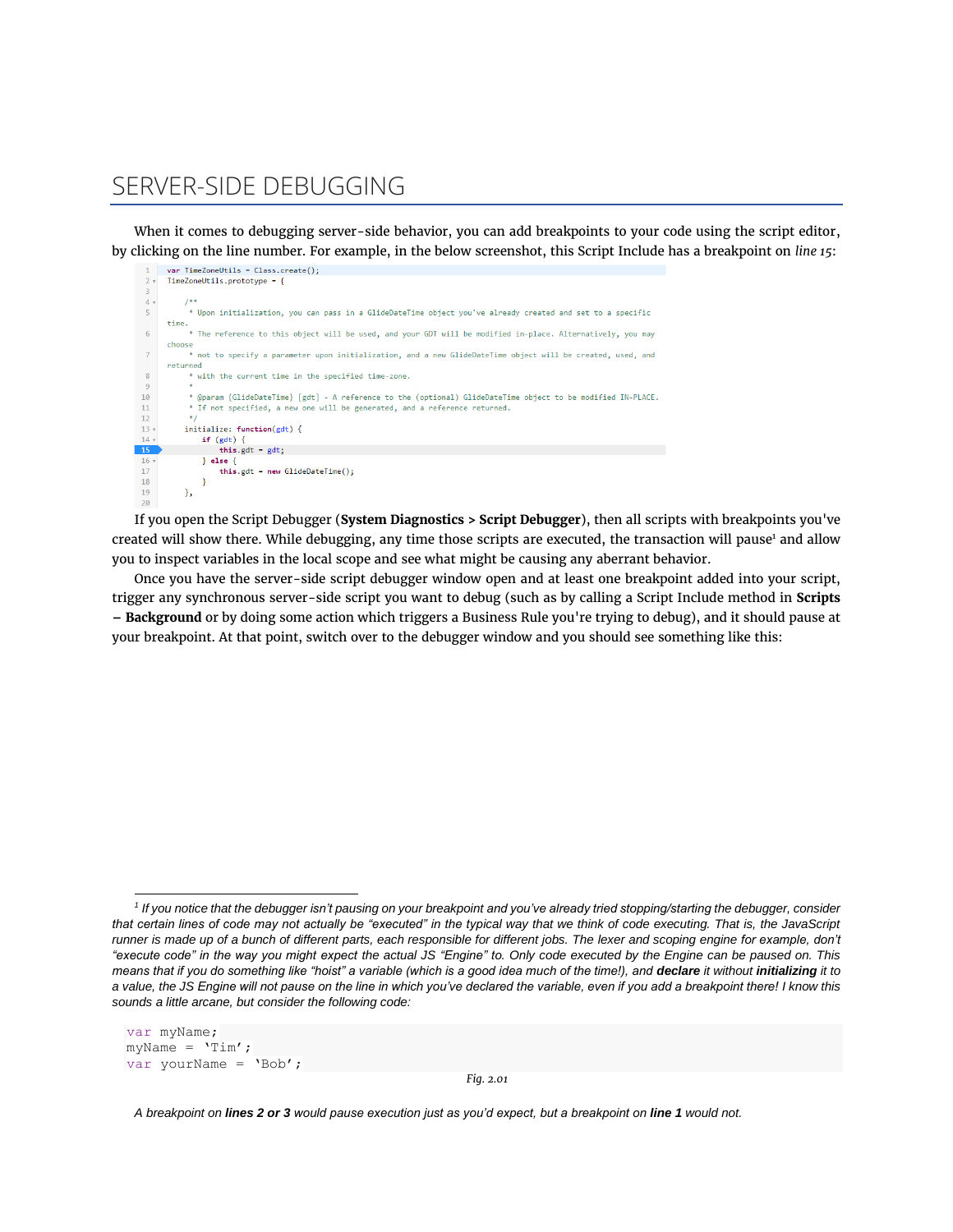## SERVER-SIDE DEBUGGING

When it comes to debugging server-side behavior, you can add breakpoints to your code using the script editor, by clicking on the line number. For example, in the below screenshot, this Script Include has a breakpoint on *line 15*:



If you open the Script Debugger (**System Diagnostics > Script Debugger**), then all scripts with breakpoints you've created will show there. While debugging, any time those scripts are executed, the transaction will pause<sup>1</sup> and allow you to inspect variables in the local scope and see what might be causing any aberrant behavior.

Once you have the server-side script debugger window open and at least one breakpoint added into your script, trigger any synchronous server-side script you want to debug (such as by calling a Script Include method in **Scripts – Background** or by doing some action which triggers a Business Rule you're trying to debug), and it should pause at your breakpoint. At that point, switch over to the debugger window and you should see something like this:

```
var myName;
myName = 'Tim';
var yourName = 'Bob';
```
*Fig. 2.01*

*A breakpoint on lines 2 or 3 would pause execution just as you'd expect, but a breakpoint on line 1 would not.* 

*<sup>1</sup> If you notice that the debugger isn't pausing on your breakpoint and you've already tried stopping/starting the debugger, consider that certain lines of code may not actually be "executed" in the typical way that we think of code executing. That is, the JavaScript runner is made up of a bunch of different parts, each responsible for different jobs. The lexer and scoping engine for example, don't "execute code" in the way you might expect the actual JS "Engine" to. Only code executed by the Engine can be paused on. This means that if you do something like "hoist" a variable (which is a good idea much of the time!), and declare it without initializing it to a value, the JS Engine will not pause on the line in which you've declared the variable, even if you add a breakpoint there! I know this sounds a little arcane, but consider the following code:*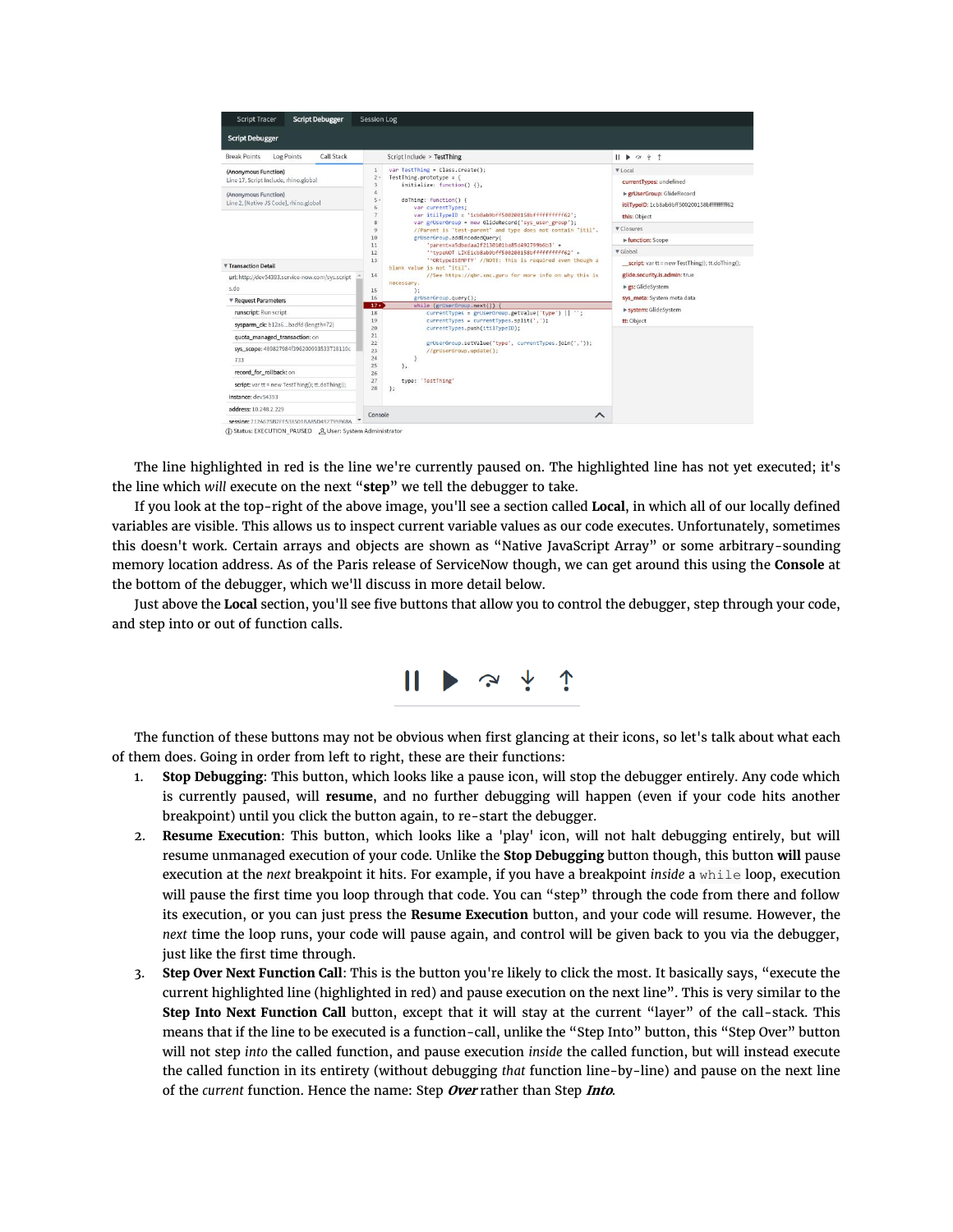

The line highlighted in red is the line we're currently paused on. The highlighted line has not yet executed; it's the line which *will* execute on the next "**step**" we tell the debugger to take.

If you look at the top-right of the above image, you'll see a section called **Local**, in which all of our locally defined variables are visible. This allows us to inspect current variable values as our code executes. Unfortunately, sometimes this doesn't work. Certain arrays and objects are shown as "Native JavaScript Array" or some arbitrary-sounding memory location address. As of the Paris release of ServiceNow though, we can get around this using the **Console** at the bottom of the debugger, which we'll discuss in more detail below.

Just above the **Local** section, you'll see five buttons that allow you to control the debugger, step through your code, and step into or out of function calls.



The function of these buttons may not be obvious when first glancing at their icons, so let's talk about what each of them does. Going in order from left to right, these are their functions:

- 1. **Stop Debugging**: This button, which looks like a pause icon, will stop the debugger entirely. Any code which is currently paused, will **resume**, and no further debugging will happen (even if your code hits another breakpoint) until you click the button again, to re-start the debugger.
- 2. **Resume Execution**: This button, which looks like a 'play' icon, will not halt debugging entirely, but will resume unmanaged execution of your code. Unlike the **Stop Debugging** button though, this button **will** pause execution at the *next* breakpoint it hits. For example, if you have a breakpoint *inside* a while loop, execution will pause the first time you loop through that code. You can "step" through the code from there and follow its execution, or you can just press the **Resume Execution** button, and your code will resume. However, the *next* time the loop runs, your code will pause again, and control will be given back to you via the debugger, just like the first time through.
- 3. **Step Over Next Function Call**: This is the button you're likely to click the most. It basically says, "execute the current highlighted line (highlighted in red) and pause execution on the next line". This is very similar to the **Step Into Next Function Call** button, except that it will stay at the current "layer" of the call-stack. This means that if the line to be executed is a function-call, unlike the "Step Into" button, this "Step Over" button will not step *into* the called function, and pause execution *inside* the called function, but will instead execute the called function in its entirety (without debugging *that* function line-by-line) and pause on the next line of the *current* function. Hence the name: Step **Over** rather than Step **Into**.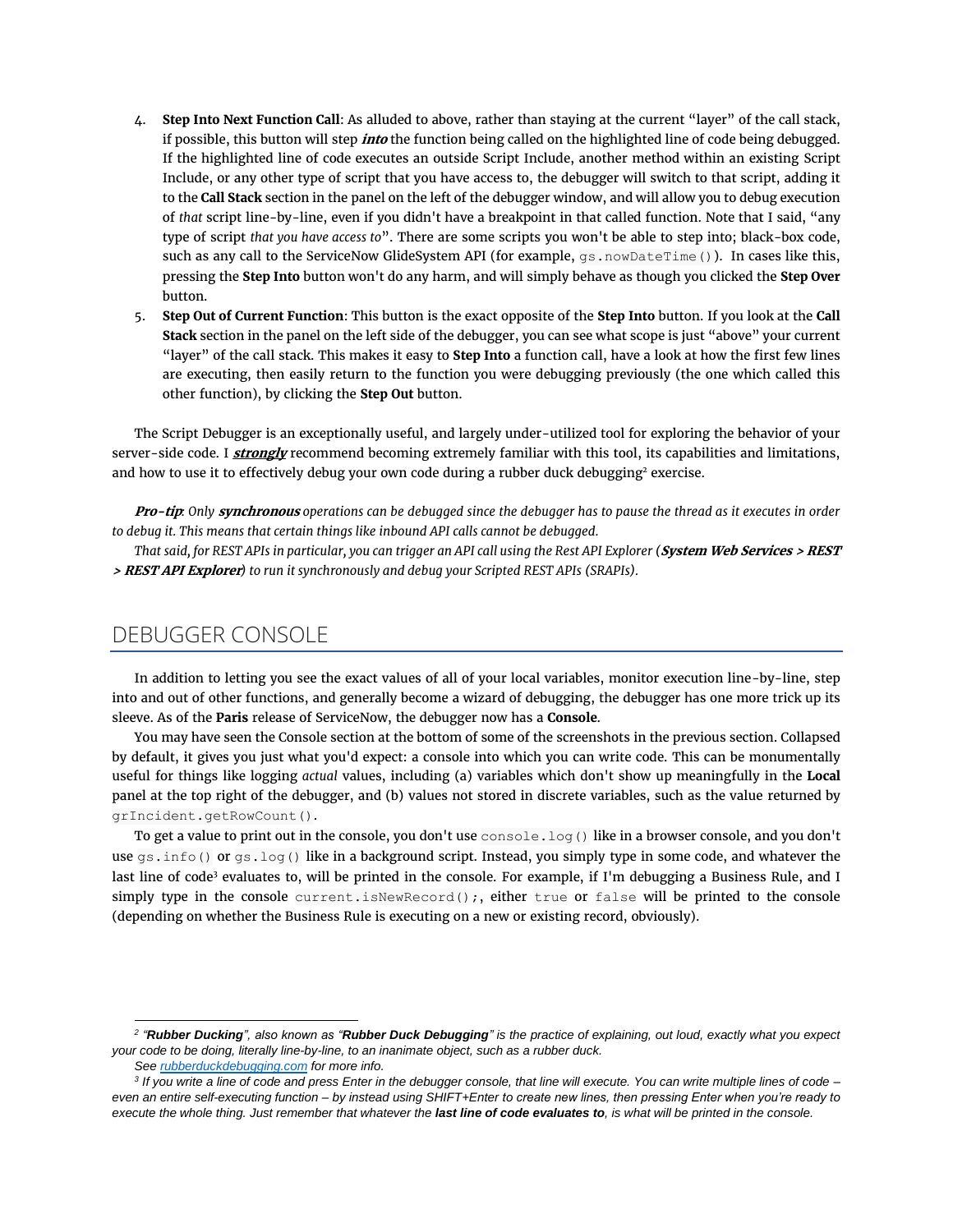- 4. **Step Into Next Function Call**: As alluded to above, rather than staying at the current "layer" of the call stack, if possible, this button will step **into** the function being called on the highlighted line of code being debugged. If the highlighted line of code executes an outside Script Include, another method within an existing Script Include, or any other type of script that you have access to, the debugger will switch to that script, adding it to the **Call Stack** section in the panel on the left of the debugger window, and will allow you to debug execution of *that* script line-by-line, even if you didn't have a breakpoint in that called function. Note that I said, "any type of script *that you have access to*". There are some scripts you won't be able to step into; black-box code, such as any call to the ServiceNow GlideSystem API (for example, gs.nowDateTime()). In cases like this, pressing the **Step Into** button won't do any harm, and will simply behave as though you clicked the **Step Over** button.
- 5. **Step Out of Current Function**: This button is the exact opposite of the **Step Into** button. If you look at the **Call Stack** section in the panel on the left side of the debugger, you can see what scope is just "above" your current "layer" of the call stack. This makes it easy to **Step Into** a function call, have a look at how the first few lines are executing, then easily return to the function you were debugging previously (the one which called this other function), by clicking the **Step Out** button.

The Script Debugger is an exceptionally useful, and largely under-utilized tool for exploring the behavior of your server-side code. I **strongly** recommend becoming extremely familiar with this tool, its capabilities and limitations, and how to use it to effectively debug your own code during a rubber duck debugging<sup>2</sup> exercise.

**Pro-tip***: Only* **synchronous** *operations can be debugged since the debugger has to pause the thread as it executes in order to debug it. This means that certain things like inbound API calls cannot be debugged.*

*That said, for REST APIs in particular, you can trigger an API call using the Rest API Explorer (***System Web Services > REST > REST API Explorer***) to run it synchronously and debug your Scripted REST APIs (SRAPIs).*

## DEBUGGER CONSOLE

In addition to letting you see the exact values of all of your local variables, monitor execution line-by-line, step into and out of other functions, and generally become a wizard of debugging, the debugger has one more trick up its sleeve. As of the **Paris** release of ServiceNow, the debugger now has a **Console**.

You may have seen the Console section at the bottom of some of the screenshots in the previous section. Collapsed by default, it gives you just what you'd expect: a console into which you can write code. This can be monumentally useful for things like logging *actual* values, including (a) variables which don't show up meaningfully in the **Local** panel at the top right of the debugger, and (b) values not stored in discrete variables, such as the value returned by grIncident.getRowCount().

To get a value to print out in the console, you don't use  $\cosh 2\log$  () like in a browser console, and you don't use gs.info() or gs.log() like in a background script. Instead, you simply type in some code, and whatever the last line of code<sup>3</sup> evaluates to, will be printed in the console. For example, if I'm debugging a Business Rule, and I simply type in the console current.isNewRecord();, either true or false will be printed to the console (depending on whether the Business Rule is executing on a new or existing record, obviously).

*<sup>2</sup> "Rubber Ducking", also known as "Rubber Duck Debugging" is the practice of explaining, out loud, exactly what you expect your code to be doing, literally line-by-line, to an inanimate object, such as a rubber duck.* 

*See [rubberduckdebugging.com](https://rubberduckdebugging.com/) for more info.*

*<sup>3</sup> If you write a line of code and press Enter in the debugger console, that line will execute. You can write multiple lines of code – even an entire self-executing function – by instead using SHIFT+Enter to create new lines, then pressing Enter when you're ready to execute the whole thing. Just remember that whatever the last line of code evaluates to, is what will be printed in the console.*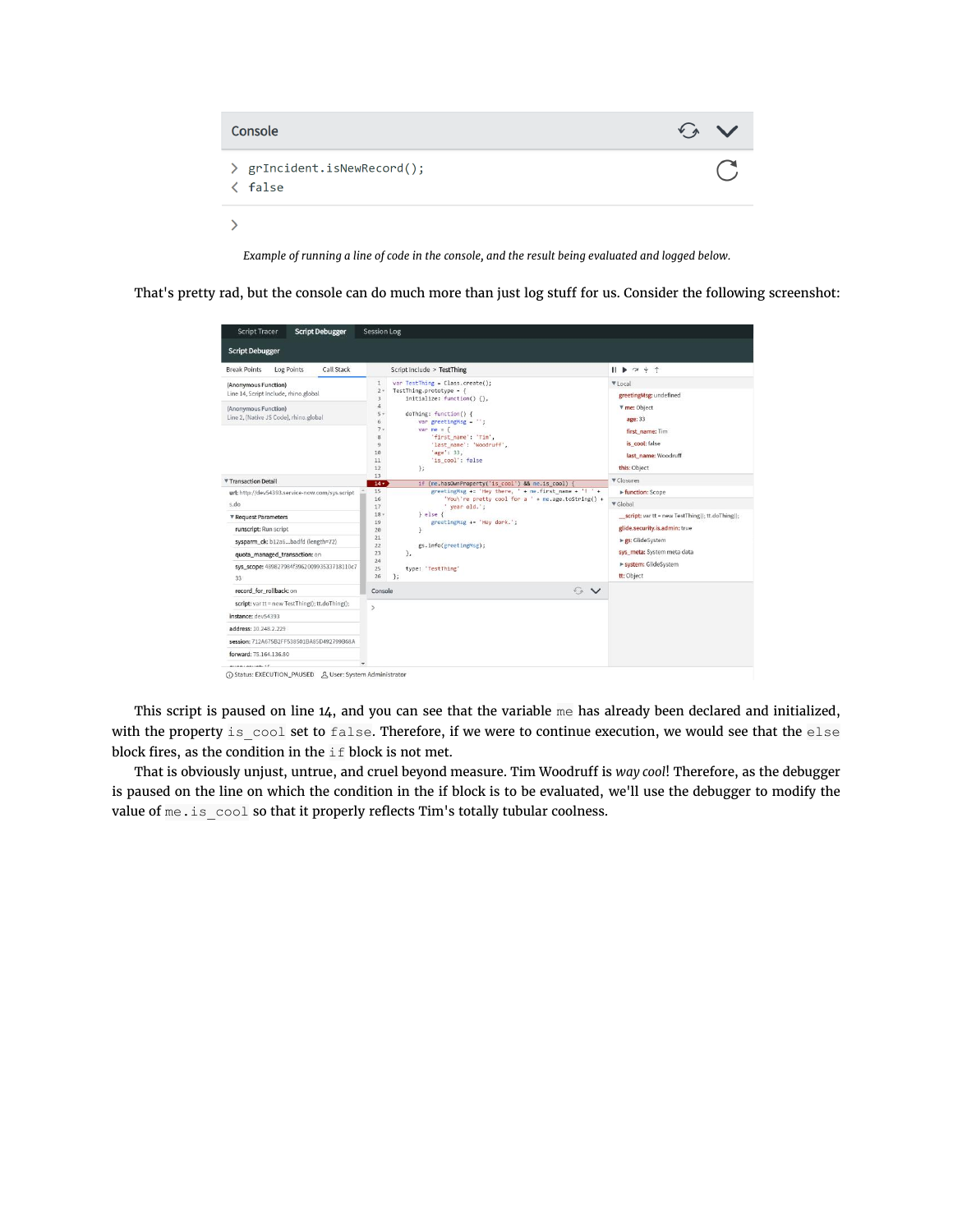

*Example of running a line of code in the console, and the result being evaluated and logged below.*

That's pretty rad, but the console can do much more than just log stuff for us. Consider the following screenshot:

| <b>Script Tracer</b><br><b>Script Debugger</b>                                                                                                                                                                                                                                                                                                                                          | <b>Session Log</b>                                                                                                                                                                                                                                                                                                                                                                                                                                                                                                                                                                                                                                                                                                                                          |                                                                                                                                                                                                                                                                                                                                                             |
|-----------------------------------------------------------------------------------------------------------------------------------------------------------------------------------------------------------------------------------------------------------------------------------------------------------------------------------------------------------------------------------------|-------------------------------------------------------------------------------------------------------------------------------------------------------------------------------------------------------------------------------------------------------------------------------------------------------------------------------------------------------------------------------------------------------------------------------------------------------------------------------------------------------------------------------------------------------------------------------------------------------------------------------------------------------------------------------------------------------------------------------------------------------------|-------------------------------------------------------------------------------------------------------------------------------------------------------------------------------------------------------------------------------------------------------------------------------------------------------------------------------------------------------------|
| <b>Script Debugger</b>                                                                                                                                                                                                                                                                                                                                                                  |                                                                                                                                                                                                                                                                                                                                                                                                                                                                                                                                                                                                                                                                                                                                                             |                                                                                                                                                                                                                                                                                                                                                             |
| Call Stack<br><b>Break Points</b><br>Log Points                                                                                                                                                                                                                                                                                                                                         | Script Include > TestThing                                                                                                                                                                                                                                                                                                                                                                                                                                                                                                                                                                                                                                                                                                                                  | $   \triangleright \sim + \uparrow$                                                                                                                                                                                                                                                                                                                         |
| (Anonymous Function)<br>Line 14, Script Include, rhino.global<br>(Anonymous Function)<br>Line 2, [Native JS Code], rhino.global<br>▼ Transaction Detail<br>url; http://dev54393.service-now.com/sys.script<br>s.do<br>▼ Request Parameters<br>runscript: Run script<br>sysparm_ck: b12a6badfd (length=72)<br>quota managed transaction; on<br>sys_scope: 489827984f396200993533718110c7 | var TestThing = Class.create();<br>$\mathbf{1}$<br>2.1<br>TestThing.prototype = $\{$<br>initialize: function() {},<br>3<br>$\ddot{a}$<br>5.1<br>doThing: function() {<br>6<br>var greetingMsg = $'$ ;<br>7.1<br>var me = $\{$<br>'first name': 'Tim',<br>8<br>'last name': 'Woodruff',<br>$\overline{9}$<br>'age': 33,<br>10<br>'is_cool': false<br>11<br>};<br>12<br>13<br>if (me.hasOwnProperty('is cool') && me.is_cool)<br>14 <sub>7</sub><br>greetingMsg += 'Hey there, ' + me.first_name + '! ' +<br>15<br>'You\'re pretty cool for a ' + me.age.toString() +<br>16<br>' year old.':<br>17<br>$\}$ else $\{$<br>$18 -$<br>greetingMsg += 'Hey dork.';<br>19<br>20<br>¥<br>21<br>gs.info(greetingMsg);<br>22<br>23<br>$\mathcal{F}_{\mathbf{z}}$<br>24 | ▼ Local<br>greetingMsg; undefined<br><b>V</b> me: Object<br>age: 33<br>first_name: Tim<br>is cool: false<br>last name: Woodruff<br>this: Object<br>▼ Closures<br>Function: Scope<br>▼ Global<br>_script: var tt = new TestThing(); tt.doThing();<br>glide.security.is.admin: true<br>► gs: GlideSystem<br>sys_meta: System meta data<br>system: GlideSystem |
| 33<br>record for rollback: on                                                                                                                                                                                                                                                                                                                                                           | 26<br>35<br>$\mathcal{L}_{\mathcal{P}}$<br>$\checkmark$<br>Console                                                                                                                                                                                                                                                                                                                                                                                                                                                                                                                                                                                                                                                                                          | tt: Object                                                                                                                                                                                                                                                                                                                                                  |
| script: var tt = new TestThing(); tt.doThing();                                                                                                                                                                                                                                                                                                                                         |                                                                                                                                                                                                                                                                                                                                                                                                                                                                                                                                                                                                                                                                                                                                                             |                                                                                                                                                                                                                                                                                                                                                             |
| instance: dev54393                                                                                                                                                                                                                                                                                                                                                                      | $\mathcal{P}$                                                                                                                                                                                                                                                                                                                                                                                                                                                                                                                                                                                                                                                                                                                                               |                                                                                                                                                                                                                                                                                                                                                             |
| address: 10.248.2.229                                                                                                                                                                                                                                                                                                                                                                   |                                                                                                                                                                                                                                                                                                                                                                                                                                                                                                                                                                                                                                                                                                                                                             |                                                                                                                                                                                                                                                                                                                                                             |
| session: 712A675B2FF538501BA85D492799B68A                                                                                                                                                                                                                                                                                                                                               |                                                                                                                                                                                                                                                                                                                                                                                                                                                                                                                                                                                                                                                                                                                                                             |                                                                                                                                                                                                                                                                                                                                                             |
| forward: 75.164.136.80<br><b>HIAMLAALINAL 1P</b><br>① Status: EXECUTION PAUSED 凡 User: System Administrator                                                                                                                                                                                                                                                                             |                                                                                                                                                                                                                                                                                                                                                                                                                                                                                                                                                                                                                                                                                                                                                             |                                                                                                                                                                                                                                                                                                                                                             |

This script is paused on line 14, and you can see that the variable me has already been declared and initialized, with the property is\_cool set to false. Therefore, if we were to continue execution, we would see that the else block fires, as the condition in the  $\pm \text{f}$  block is not met.

That is obviously unjust, untrue, and cruel beyond measure. Tim Woodruff is *way cool*! Therefore, as the debugger is paused on the line on which the condition in the if block is to be evaluated, we'll use the debugger to modify the value of me.is cool so that it properly reflects Tim's totally tubular coolness.